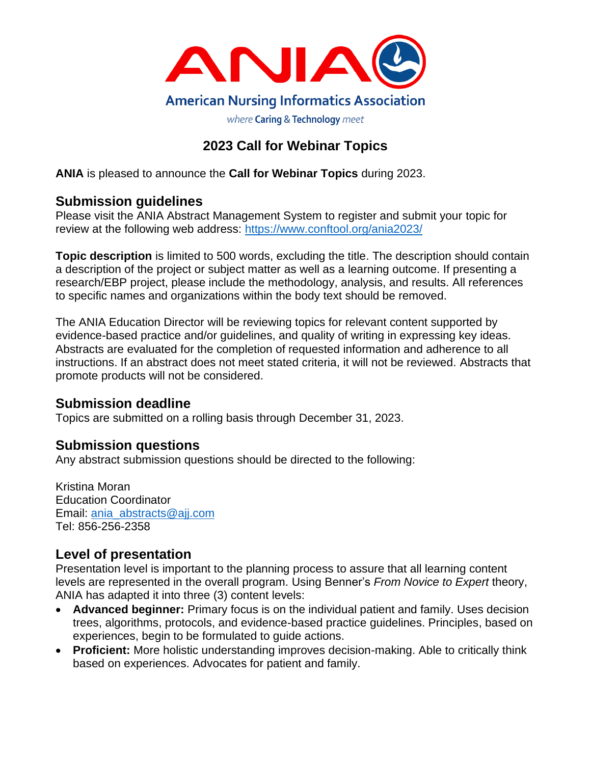

# **2023 Call for Webinar Topics**

**ANIA** is pleased to announce the **Call for Webinar Topics** during 2023.

# **Submission guidelines**

Please visit the ANIA Abstract Management System to register and submit your topic for review at the following web address: <https://www.conftool.org/ania2023/>

**Topic description** is limited to 500 words, excluding the title. The description should contain a description of the project or subject matter as well as a learning outcome. If presenting a research/EBP project, please include the methodology, analysis, and results. All references to specific names and organizations within the body text should be removed.

The ANIA Education Director will be reviewing topics for relevant content supported by evidence-based practice and/or guidelines, and quality of writing in expressing key ideas. Abstracts are evaluated for the completion of requested information and adherence to all instructions. If an abstract does not meet stated criteria, it will not be reviewed. Abstracts that promote products will not be considered.

### **Submission deadline**

Topics are submitted on a rolling basis through December 31, 2023.

## **Submission questions**

Any abstract submission questions should be directed to the following:

Kristina Moran Education Coordinator Email: [ania\\_abstracts@ajj.com](mailto:ania_abstracts@ajj.com) Tel: 856-256-2358

## **Level of presentation**

Presentation level is important to the planning process to assure that all learning content levels are represented in the overall program. Using Benner's *From Novice to Expert* theory, ANIA has adapted it into three (3) content levels:

- **Advanced beginner:** Primary focus is on the individual patient and family. Uses decision trees, algorithms, protocols, and evidence-based practice guidelines. Principles, based on experiences, begin to be formulated to guide actions.
- **Proficient:** More holistic understanding improves decision-making. Able to critically think based on experiences. Advocates for patient and family.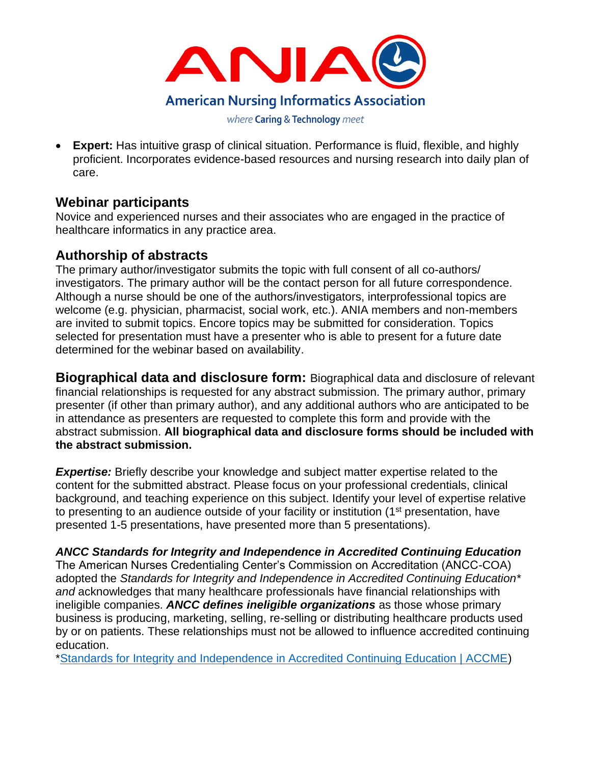

• **Expert:** Has intuitive grasp of clinical situation. Performance is fluid, flexible, and highly proficient. Incorporates evidence-based resources and nursing research into daily plan of care.

# **Webinar participants**

Novice and experienced nurses and their associates who are engaged in the practice of healthcare informatics in any practice area.

## **Authorship of abstracts**

The primary author/investigator submits the topic with full consent of all co-authors/ investigators. The primary author will be the contact person for all future correspondence. Although a nurse should be one of the authors/investigators, interprofessional topics are welcome (e.g. physician, pharmacist, social work, etc.). ANIA members and non-members are invited to submit topics. Encore topics may be submitted for consideration. Topics selected for presentation must have a presenter who is able to present for a future date determined for the webinar based on availability.

**Biographical data and disclosure form:** Biographical data and disclosure of relevant financial relationships is requested for any abstract submission. The primary author, primary presenter (if other than primary author), and any additional authors who are anticipated to be in attendance as presenters are requested to complete this form and provide with the abstract submission. **All biographical data and disclosure forms should be included with the abstract submission.** 

**Expertise:** Briefly describe your knowledge and subject matter expertise related to the content for the submitted abstract. Please focus on your professional credentials, clinical background, and teaching experience on this subject. Identify your level of expertise relative to presenting to an audience outside of your facility or institution (1<sup>st</sup> presentation, have presented 1-5 presentations, have presented more than 5 presentations).

### *ANCC Standards for Integrity and Independence in Accredited Continuing Education*

The American Nurses Credentialing Center's Commission on Accreditation (ANCC-COA) adopted the *Standards for Integrity and Independence in Accredited Continuing Education\* and* acknowledges that many healthcare professionals have financial relationships with ineligible companies. *ANCC defines ineligible organizations* as those whose primary business is producing, marketing, selling, re-selling or distributing healthcare products used by or on patients. These relationships must not be allowed to influence accredited continuing education.

[\\*Standards for Integrity and Independence in Accredited Continuing Education | ACCME\)](https://accme.org/accreditation-rules/standards-for-integrity-independence-accredited-ce)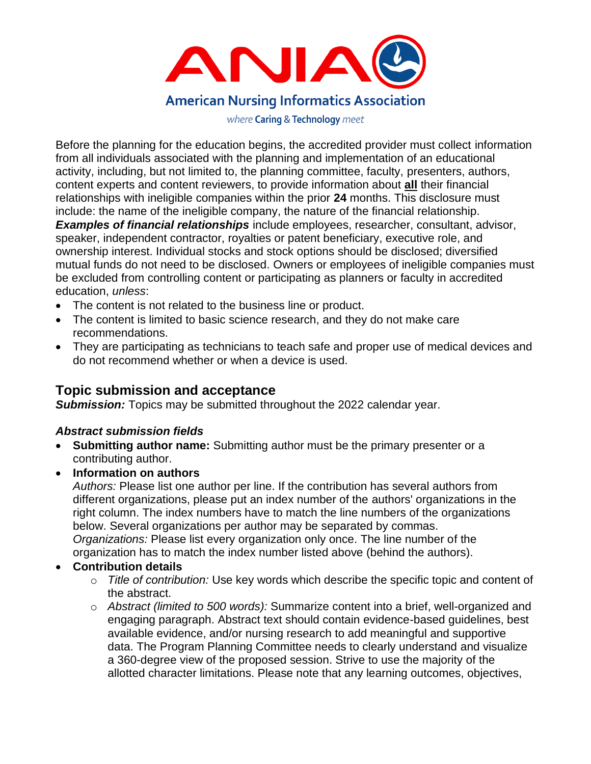

Before the planning for the education begins, the accredited provider must collect information from all individuals associated with the planning and implementation of an educational activity, including, but not limited to, the planning committee, faculty, presenters, authors, content experts and content reviewers, to provide information about **all** their financial relationships with ineligible companies within the prior **24** months. This disclosure must include: the name of the ineligible company, the nature of the financial relationship. *Examples of financial relationships* include employees, researcher, consultant, advisor, speaker, independent contractor, royalties or patent beneficiary, executive role, and ownership interest. Individual stocks and stock options should be disclosed; diversified mutual funds do not need to be disclosed. Owners or employees of ineligible companies must be excluded from controlling content or participating as planners or faculty in accredited education, *unless*:

- The content is not related to the business line or product.
- The content is limited to basic science research, and they do not make care recommendations.
- They are participating as technicians to teach safe and proper use of medical devices and do not recommend whether or when a device is used.

### **Topic submission and acceptance**

**Submission:** Topics may be submitted throughout the 2022 calendar year.

#### *Abstract submission fields*

- **Submitting author name:** Submitting author must be the primary presenter or a contributing author.
- **Information on authors**

*Authors:* Please list one author per line. If the contribution has several authors from different organizations, please put an index number of the authors' organizations in the right column. The index numbers have to match the line numbers of the organizations below. Several organizations per author may be separated by commas. *Organizations:* Please list every organization only once. The line number of the organization has to match the index number listed above (behind the authors).

#### • **Contribution details**

- o *Title of contribution:* Use key words which describe the specific topic and content of the abstract.
- o *Abstract (limited to 500 words):* Summarize content into a brief, well-organized and engaging paragraph. Abstract text should contain evidence-based guidelines, best available evidence, and/or nursing research to add meaningful and supportive data. The Program Planning Committee needs to clearly understand and visualize a 360-degree view of the proposed session. Strive to use the majority of the allotted character limitations. Please note that any learning outcomes, objectives,